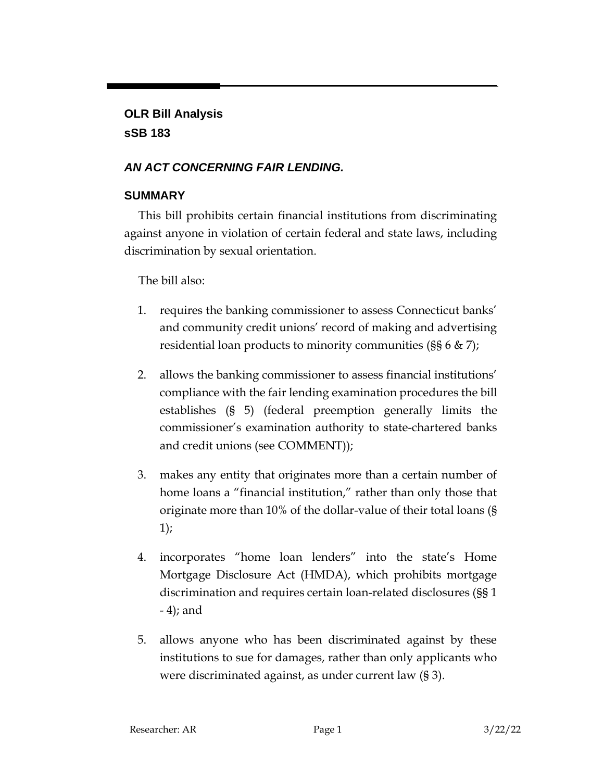# **OLR Bill Analysis sSB 183**

# *AN ACT CONCERNING FAIR LENDING.*

## **SUMMARY**

This bill prohibits certain financial institutions from discriminating against anyone in violation of certain federal and state laws, including discrimination by sexual orientation.

The bill also:

- 1. requires the banking commissioner to assess Connecticut banks' and community credit unions' record of making and advertising residential loan products to minority communities (§§ 6 & 7);
- 2. allows the banking commissioner to assess financial institutions' compliance with the fair lending examination procedures the bill establishes (§ 5) (federal preemption generally limits the commissioner's examination authority to state-chartered banks and credit unions (see COMMENT));
- 3. makes any entity that originates more than a certain number of home loans a "financial institution," rather than only those that originate more than 10% of the dollar-value of their total loans (§ 1);
- 4. incorporates "home loan lenders" into the state's Home Mortgage Disclosure Act (HMDA), which prohibits mortgage discrimination and requires certain loan-related disclosures (§§ 1 - 4); and
- 5. allows anyone who has been discriminated against by these institutions to sue for damages, rather than only applicants who were discriminated against, as under current law (§ 3).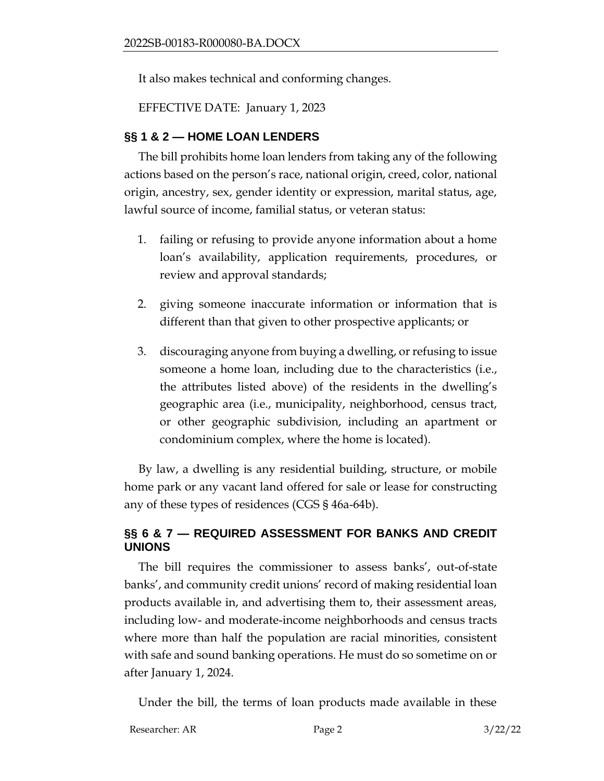It also makes technical and conforming changes.

EFFECTIVE DATE: January 1, 2023

#### **§§ 1 & 2 — HOME LOAN LENDERS**

The bill prohibits home loan lenders from taking any of the following actions based on the person's race, national origin, creed, color, national origin, ancestry, sex, gender identity or expression, marital status, age, lawful source of income, familial status, or veteran status:

- 1. failing or refusing to provide anyone information about a home loan's availability, application requirements, procedures, or review and approval standards;
- 2. giving someone inaccurate information or information that is different than that given to other prospective applicants; or
- 3. discouraging anyone from buying a dwelling, or refusing to issue someone a home loan, including due to the characteristics (i.e., the attributes listed above) of the residents in the dwelling's geographic area (i.e., municipality, neighborhood, census tract, or other geographic subdivision, including an apartment or condominium complex, where the home is located).

By law, a dwelling is any residential building, structure, or mobile home park or any vacant land offered for sale or lease for constructing any of these types of residences (CGS § 46a-64b).

#### **§§ 6 & 7 — REQUIRED ASSESSMENT FOR BANKS AND CREDIT UNIONS**

The bill requires the commissioner to assess banks', out-of-state banks', and community credit unions' record of making residential loan products available in, and advertising them to, their assessment areas, including low- and moderate-income neighborhoods and census tracts where more than half the population are racial minorities, consistent with safe and sound banking operations. He must do so sometime on or after January 1, 2024.

Under the bill, the terms of loan products made available in these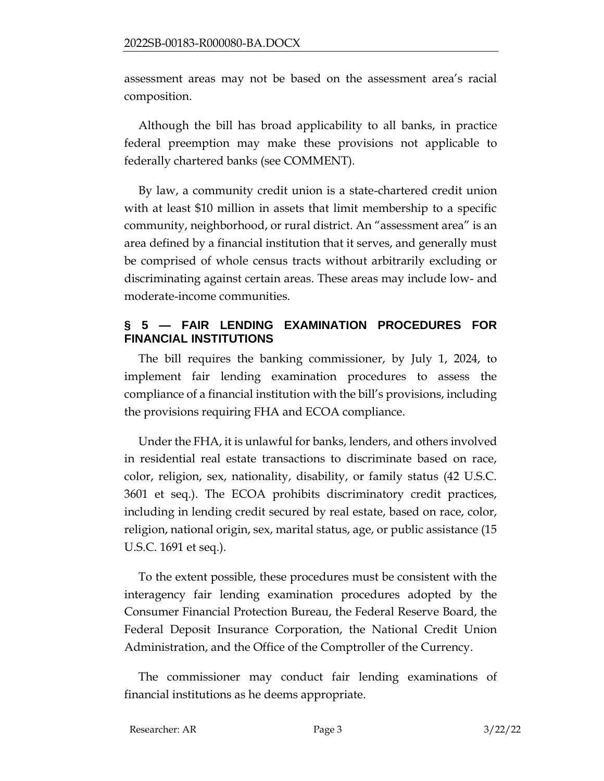assessment areas may not be based on the assessment area's racial composition.

Although the bill has broad applicability to all banks, in practice federal preemption may make these provisions not applicable to federally chartered banks (see COMMENT).

By law, a community credit union is a state-chartered credit union with at least \$10 million in assets that limit membership to a specific community, neighborhood, or rural district. An "assessment area" is an area defined by a financial institution that it serves, and generally must be comprised of whole census tracts without arbitrarily excluding or discriminating against certain areas. These areas may include low- and moderate-income communities.

#### **§ 5 — FAIR LENDING EXAMINATION PROCEDURES FOR FINANCIAL INSTITUTIONS**

The bill requires the banking commissioner, by July 1, 2024, to implement fair lending examination procedures to assess the compliance of a financial institution with the bill's provisions, including the provisions requiring FHA and ECOA compliance.

Under the FHA, it is unlawful for banks, lenders, and others involved in residential real estate transactions to discriminate based on race, color, religion, sex, nationality, disability, or family status (42 U.S.C. 3601 et seq.). The ECOA prohibits discriminatory credit practices, including in lending credit secured by real estate, based on race, color, religion, national origin, sex, marital status, age, or public assistance (15 U.S.C. 1691 et seq.).

To the extent possible, these procedures must be consistent with the interagency fair lending examination procedures adopted by the Consumer Financial Protection Bureau, the Federal Reserve Board, the Federal Deposit Insurance Corporation, the National Credit Union Administration, and the Office of the Comptroller of the Currency.

The commissioner may conduct fair lending examinations of financial institutions as he deems appropriate.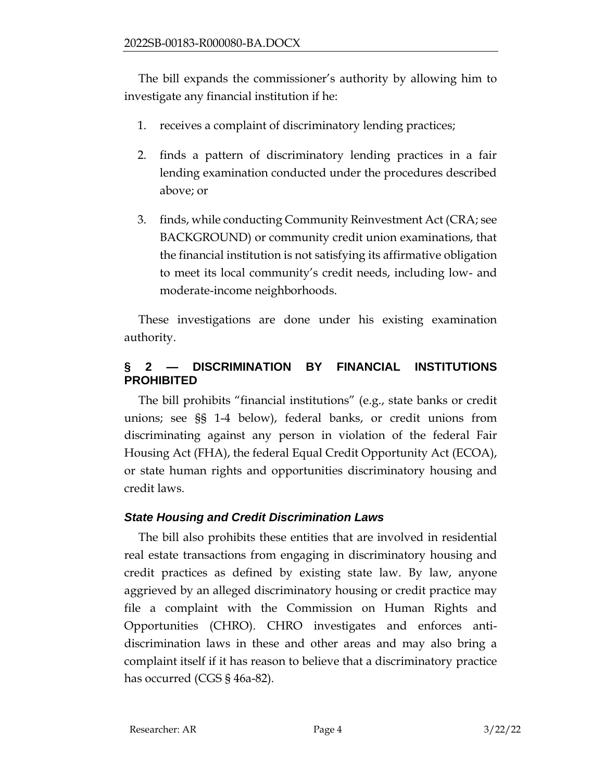The bill expands the commissioner's authority by allowing him to investigate any financial institution if he:

- 1. receives a complaint of discriminatory lending practices;
- 2. finds a pattern of discriminatory lending practices in a fair lending examination conducted under the procedures described above; or
- 3. finds, while conducting Community Reinvestment Act (CRA; see BACKGROUND) or community credit union examinations, that the financial institution is not satisfying its affirmative obligation to meet its local community's credit needs, including low- and moderate-income neighborhoods.

These investigations are done under his existing examination authority.

# **§ 2 — DISCRIMINATION BY FINANCIAL INSTITUTIONS PROHIBITED**

The bill prohibits "financial institutions" (e.g., state banks or credit unions; see §§ 1-4 below), federal banks, or credit unions from discriminating against any person in violation of the federal Fair Housing Act (FHA), the federal Equal Credit Opportunity Act (ECOA), or state human rights and opportunities discriminatory housing and credit laws.

## *State Housing and Credit Discrimination Laws*

The bill also prohibits these entities that are involved in residential real estate transactions from engaging in discriminatory housing and credit practices as defined by existing state law. By law, anyone aggrieved by an alleged discriminatory housing or credit practice may file a complaint with the Commission on Human Rights and Opportunities (CHRO). CHRO investigates and enforces antidiscrimination laws in these and other areas and may also bring a complaint itself if it has reason to believe that a discriminatory practice has occurred (CGS § 46a-82).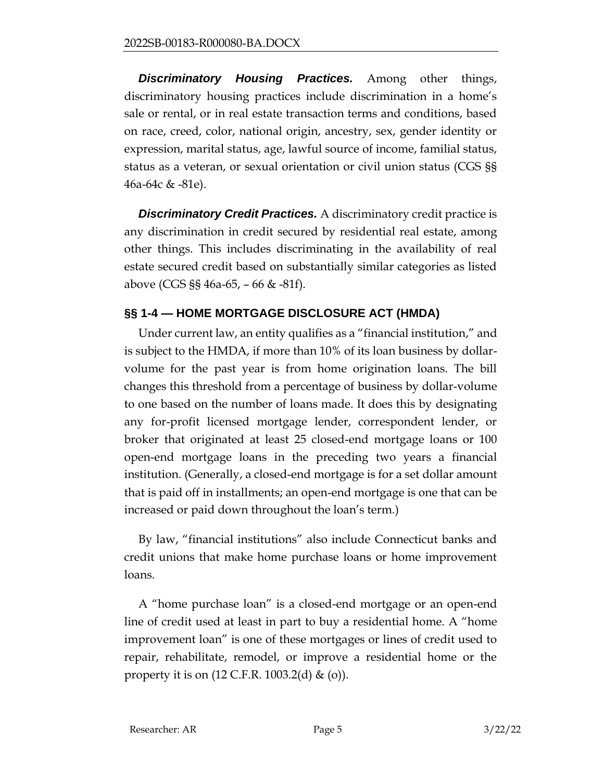*Discriminatory Housing Practices.* Among other things, discriminatory housing practices include discrimination in a home's sale or rental, or in real estate transaction terms and conditions, based on race, creed, color, national origin, ancestry, sex, gender identity or expression, marital status, age, lawful source of income, familial status, status as a veteran, or sexual orientation or civil union status (CGS §§ 46a-64c & -81e).

*Discriminatory Credit Practices.* A discriminatory credit practice is any discrimination in credit secured by residential real estate, among other things. This includes discriminating in the availability of real estate secured credit based on substantially similar categories as listed above (CGS §§ 46a-65, – 66 & -81f).

## **§§ 1-4 — HOME MORTGAGE DISCLOSURE ACT (HMDA)**

Under current law, an entity qualifies as a "financial institution," and is subject to the HMDA, if more than 10% of its loan business by dollarvolume for the past year is from home origination loans. The bill changes this threshold from a percentage of business by dollar-volume to one based on the number of loans made. It does this by designating any for-profit licensed mortgage lender, correspondent lender, or broker that originated at least 25 closed-end mortgage loans or 100 open-end mortgage loans in the preceding two years a financial institution. (Generally, a closed-end mortgage is for a set dollar amount that is paid off in installments; an open-end mortgage is one that can be increased or paid down throughout the loan's term.)

By law, "financial institutions" also include Connecticut banks and credit unions that make home purchase loans or home improvement loans.

A "home purchase loan" is a closed-end mortgage or an open-end line of credit used at least in part to buy a residential home. A "home improvement loan" is one of these mortgages or lines of credit used to repair, rehabilitate, remodel, or improve a residential home or the property it is on  $(12 \text{ C.F.R. } 1003.2 \text{ (d) \& (o)}).$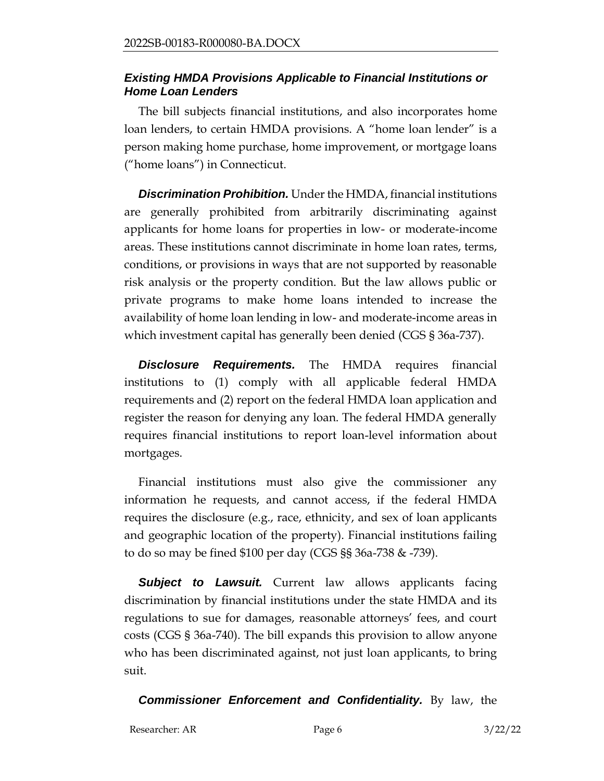#### *Existing HMDA Provisions Applicable to Financial Institutions or Home Loan Lenders*

The bill subjects financial institutions, and also incorporates home loan lenders, to certain HMDA provisions. A "home loan lender" is a person making home purchase, home improvement, or mortgage loans ("home loans") in Connecticut.

*Discrimination Prohibition.* Under the HMDA, financial institutions are generally prohibited from arbitrarily discriminating against applicants for home loans for properties in low- or moderate-income areas. These institutions cannot discriminate in home loan rates, terms, conditions, or provisions in ways that are not supported by reasonable risk analysis or the property condition. But the law allows public or private programs to make home loans intended to increase the availability of home loan lending in low- and moderate-income areas in which investment capital has generally been denied (CGS § 36a-737).

**Disclosure Requirements.** The HMDA requires financial institutions to (1) comply with all applicable federal HMDA requirements and (2) report on the federal HMDA loan application and register the reason for denying any loan. The federal HMDA generally requires financial institutions to report loan-level information about mortgages.

Financial institutions must also give the commissioner any information he requests, and cannot access, if the federal HMDA requires the disclosure (e.g., race, ethnicity, and sex of loan applicants and geographic location of the property). Financial institutions failing to do so may be fined \$100 per day (CGS §§ 36a-738 & -739).

**Subject to Lawsuit.** Current law allows applicants facing discrimination by financial institutions under the state HMDA and its regulations to sue for damages, reasonable attorneys' fees, and court costs (CGS § 36a-740). The bill expands this provision to allow anyone who has been discriminated against, not just loan applicants, to bring suit.

*Commissioner Enforcement and Confidentiality.* By law, the

Researcher: AR Page 6 3/22/22